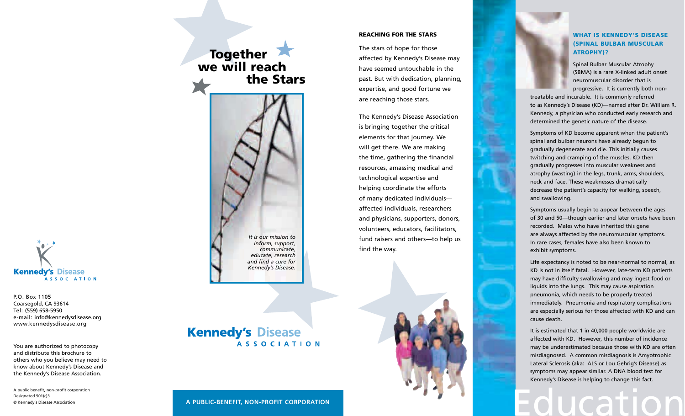# **ASSOCIATION**

Coarsegold, CA 93614 Tel: (559) 658-5950 e-mail: info@kennedysdisease.org www.kennedysdisease.org

You are authorized to photocopy others who you believe may need to

A public benefit, non-profit corporation Designated 501(c)3 © Kennedy's Disease Association

#### **REACHING FOR THE STARS**

The stars of hope for those affected by Kennedy's Disease may have seemed untouchable in the past. But with dedication, planning, expertise, and good fortune we are reaching those stars.

The Kennedy's Disease Association is bringing together the critical elements for that journey. We will get there. We are making the time, gathering the financial resources, amassing medical and technological expertise and helping coordinate the efforts of many dedicated individualsaffected individuals, researchers and physicians, supporters, donors, volunteers, educators, facilitators, fund raisers and others-to help us find the way.

#### **WHAT IS KENNEDY'S DISEASE (SPINAL BULBAR MUSCULAR ATROPHY)?**

Spinal Bulbar Muscular Atrophy (SBMA) is a rare X-linked adult onset neuromuscular disorder that is progressive. It is currently both non-

treatable and incurable. It is commonly referred to as Kennedy's Disease (KD)-named after Dr. William R. Kennedy, a physician who conducted early research and determined the genetic nature of the disease.

Symptoms of KD become apparent when the patient's spinal and bulbar neurons have already begun to gradually degenerate and die. This initially causes twitching and cramping of the muscles. KD then gradually progresses into muscular weakness and atrophy (wasting) in the legs, trunk, arms, shoulders, neck and face. These weaknesses dramatically decrease the patient's capacity for walking, speech, and swallowing.

Symptoms usually begin to appear between the ages of 30 and 50-though earlier and later onsets have been recorded. Males who have inherited this gene are always affected by the neuromuscular symptoms. In rare cases, females have also been known to exhibit symptoms.

Life expectancy is noted to be near-normal to normal, as KD is not in itself fatal. However, late-term KD patients may have difficulty swallowing and may ingest food or liquids into the lungs. This may cause aspiration pneumonia, which needs to be properly treated immediately. Pneumonia and respiratory complications are especially serious for those affected with KD and can cause death.

It is estimated that 1 in 40,000 people worldwide are affected with KD. However, this number of incidence may be underestimated because those with KD are often misdiagnosed. A common misdiagnosis is Amyotrophic Lateral Sclerosis (aka: ALS or Lou Gehrig's Disease) as symptoms may appear similar. A DNA blood test for Kennedy's Disease is helping to change this fact.

A PUBLIC-BENEFIT, NON-PROFIT CORPORATION



P.O. Box 1105

and distribute this brochure to know about Kennedy's Disease and the Kennedy's Disease Association.

the Stars

Together<br>we will reach

It is our mission to inform, support, communicate. educate, research and find a cure for Kennedy's Disease.

## **Kennedy's Disease ASSOCIATION**